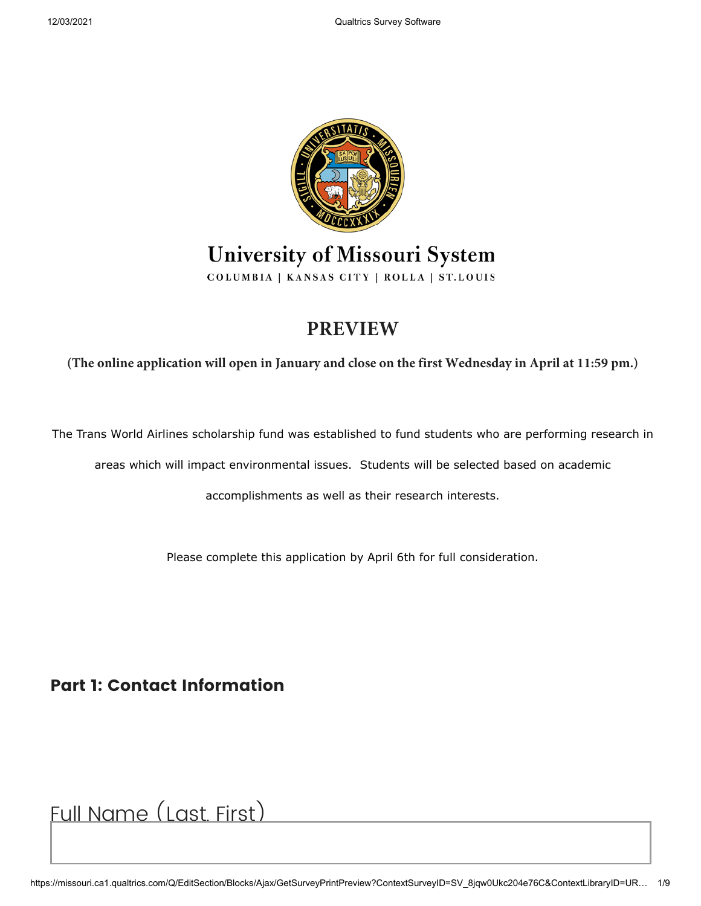

#### University of Missouri System COLUMBIA | KANSAS CITY | ROLLA | ST.LOUIS

# **PREVIEW**

**(The online application will open in January and close on the first Wednesday in April at 11:59 pm.)**

The Trans World Airlines scholarship fund was established to fund students who are performing research in

areas which will impact environmental issues. Students will be selected based on academic

accomplishments as well as their research interests.

Please complete this application by April 6th for full consideration.

**Part 1: Contact Information**

Full Name (Last, First)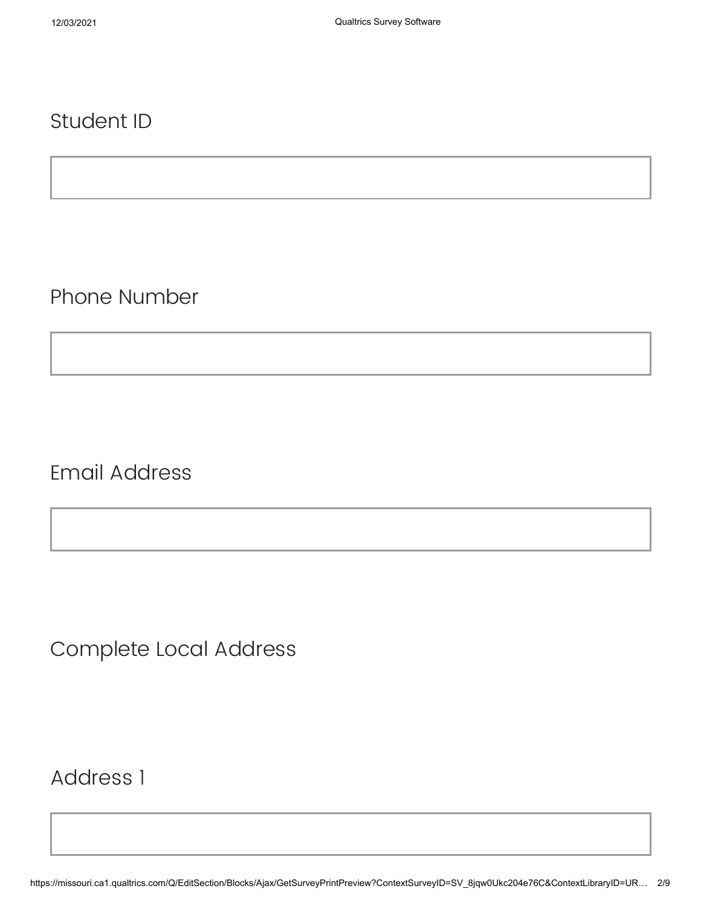#### Student ID

Phone Number

Email Address

Complete Local Address

Address 1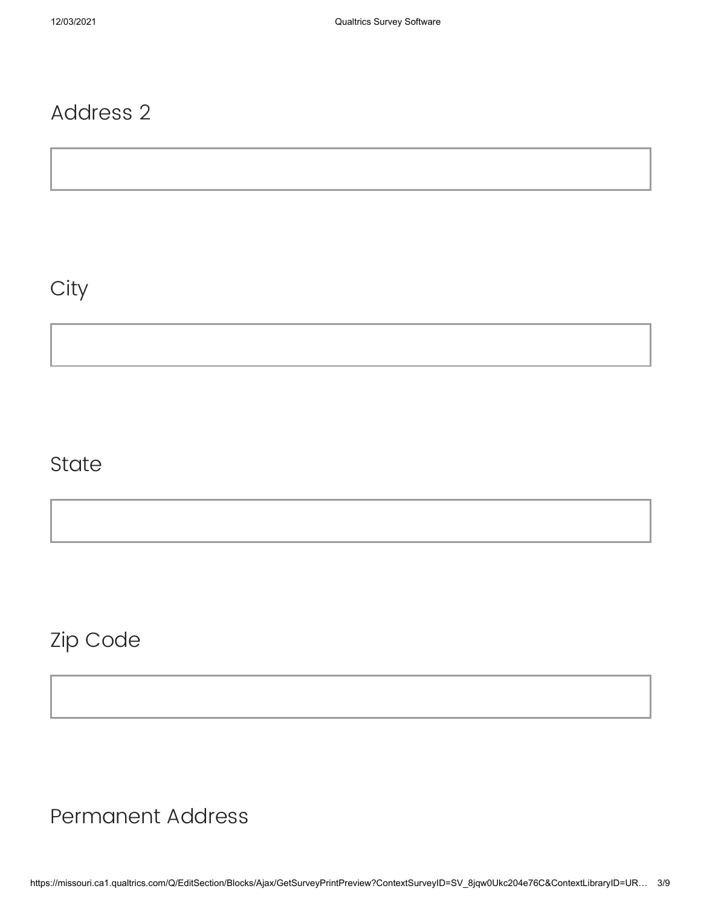### Address 2

### **City**

### **State**

Zip Code

Permanent Address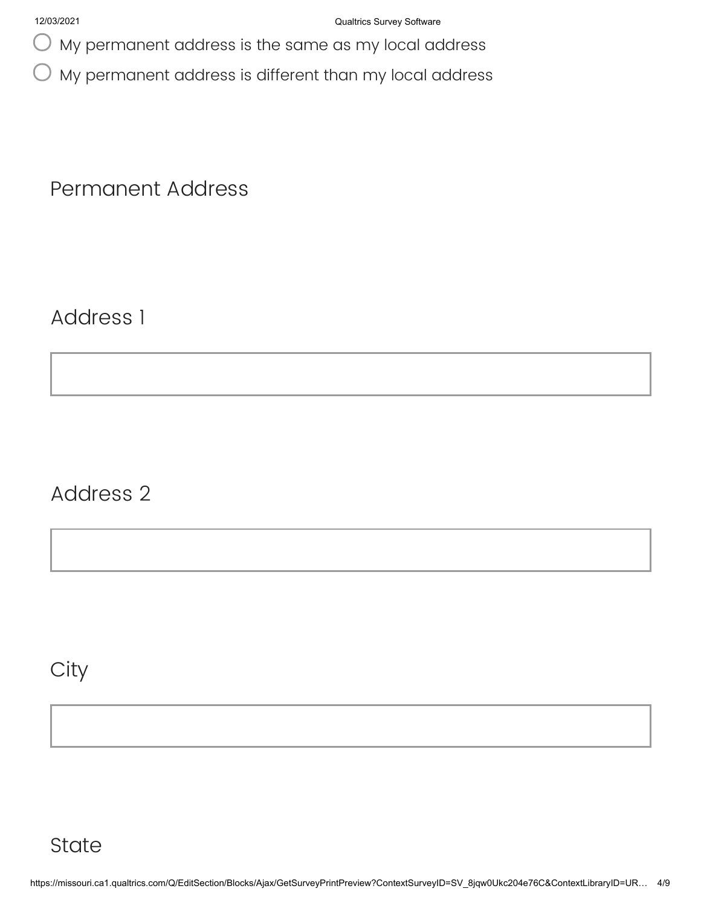My permanent address is the same as my local address

My permanent address is different than my local address

Permanent Address

Address 1

Address 2

**City**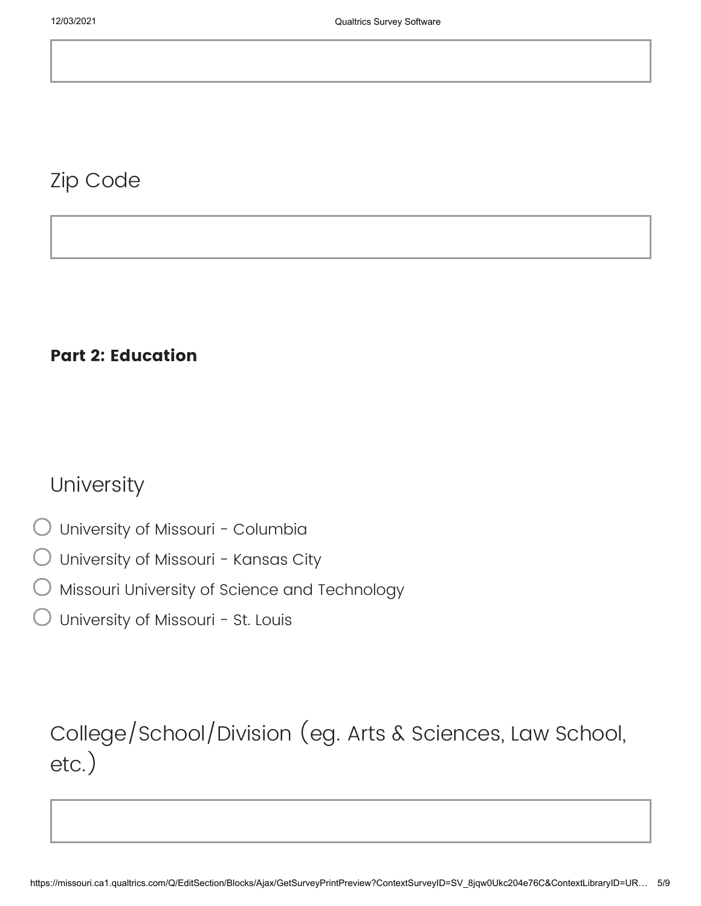#### Zip Code

#### **Part 2: Education**

#### **University**

- University of Missouri Columbia
- University of Missouri Kansas City
- Missouri University of Science and Technology
- University of Missouri St. Louis

## College/School/Division (eg. Arts & Sciences, Law School, etc.)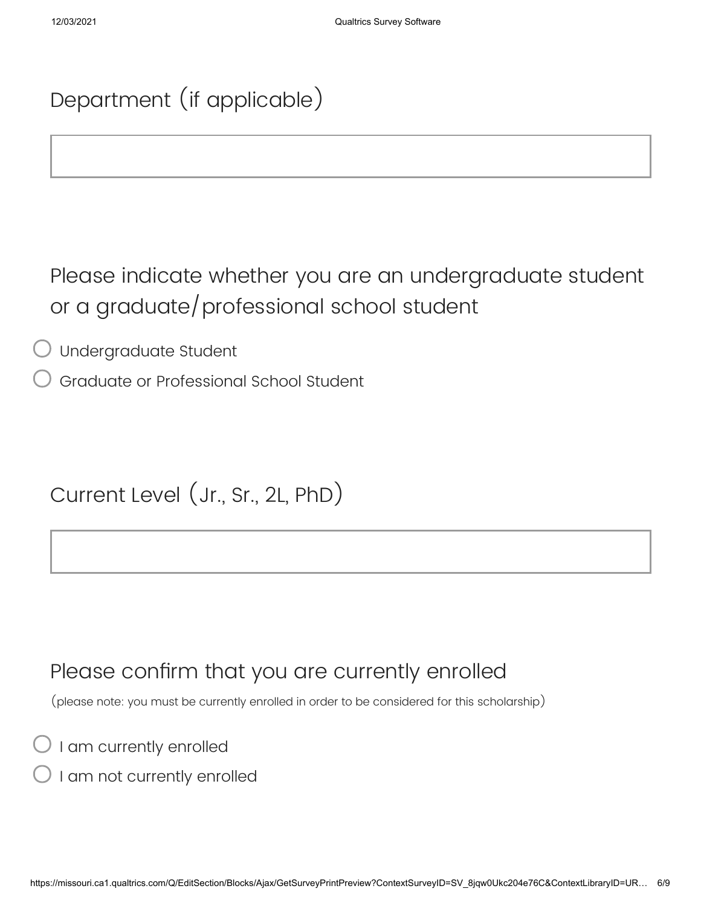## Department (if applicable)

Please indicate whether you are an undergraduate student or a graduate/professional school student

Undergraduate Student

Graduate or Professional School Student

Current Level (Jr., Sr., 2L, PhD)

#### Please confirm that you are currently enrolled

(please note: you must be currently enrolled in order to be considered for this scholarship)

I am currently enrolled

I am not currently enrolled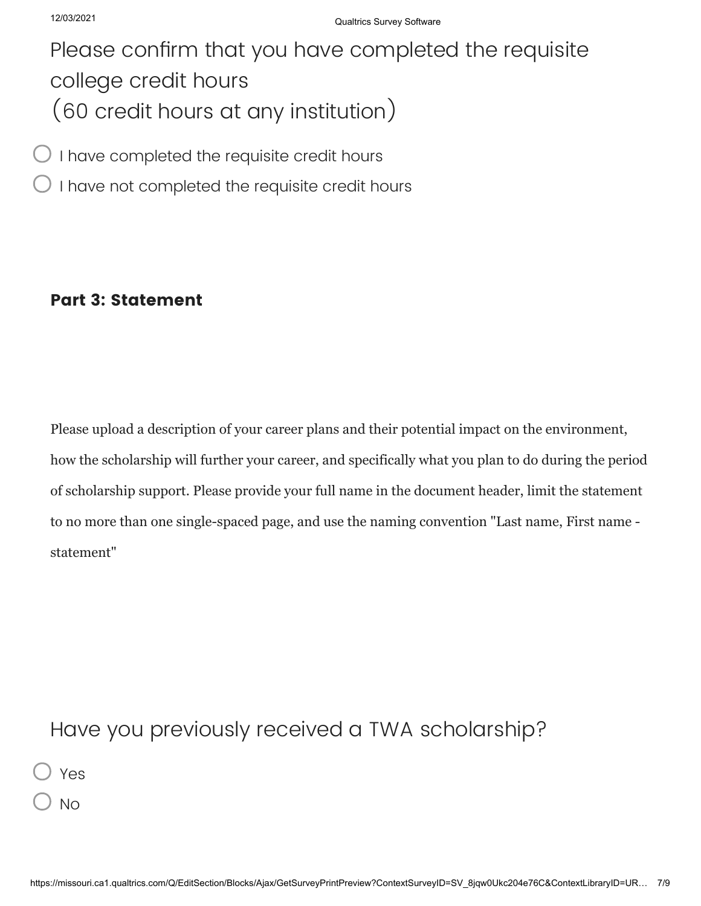## Please confirm that you have completed the requisite college credit hours (60 credit hours at any institution)

I have completed the requisite credit hours

I have not completed the requisite credit hours

#### **Part 3: Statement**

Please upload a description of your career plans and their potential impact on the environment, how the scholarship will further your career, and specifically what you plan to do during the period of scholarship support. Please provide your full name in the document header, limit the statement to no more than one single-spaced page, and use the naming convention "Last name, First name statement"

### Have you previously received a TWA scholarship?

Yes

No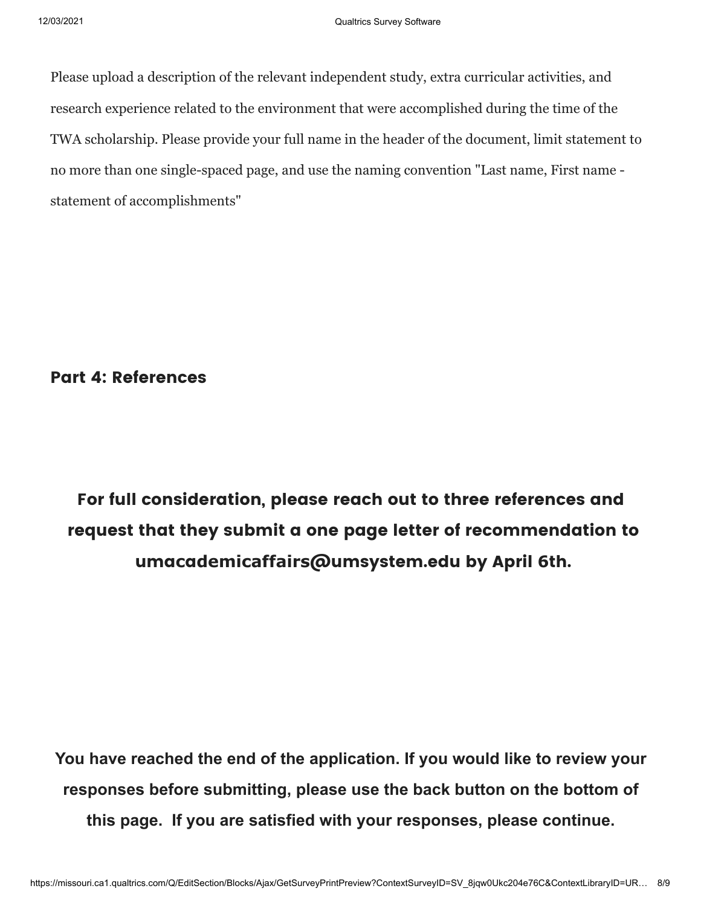Please upload a description of the relevant independent study, extra curricular activities, and research experience related to the environment that were accomplished during the time of the TWA scholarship. Please provide your full name in the header of the document, limit statement to no more than one single-spaced page, and use the naming convention "Last name, First name statement of accomplishments"

**Part 4: References**

**For full consideration, please reach out to three references and request that they submit a one page letter of recommendation to umacademicaffairs@umsystem.edu by April 6th.**

**You have reached the end of the application. If you would like to review your responses before submitting, please use the back button on the bottom of this page. If you are satisfied with your responses, please continue.**